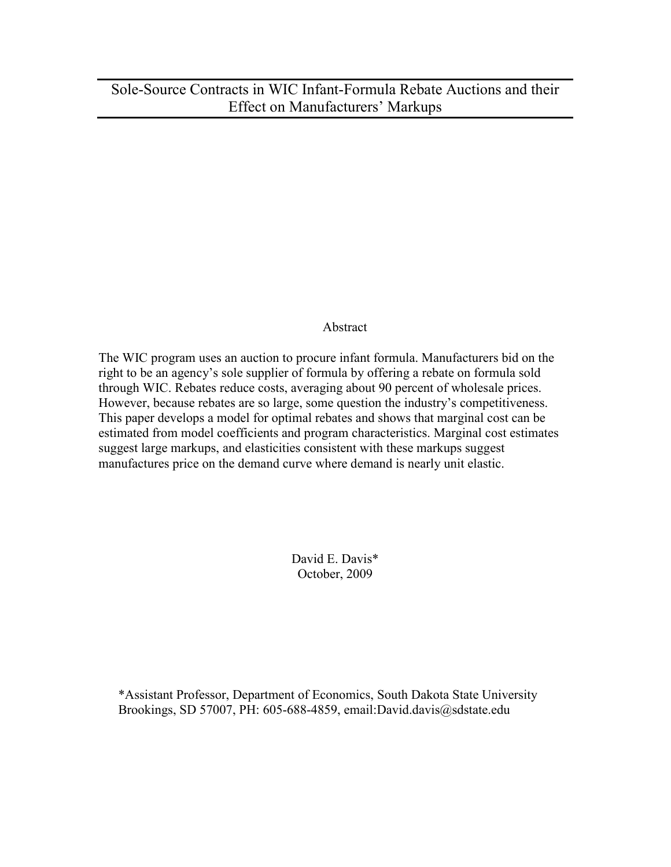Sole-Source Contracts in WIC Infant-Formula Rebate Auctions and their Effect on Manufacturers' Markups

### Abstract

The WIC program uses an auction to procure infant formula. Manufacturers bid on the right to be an agency's sole supplier of formula by offering a rebate on formula sold through WIC. Rebates reduce costs, averaging about 90 percent of wholesale prices. However, because rebates are so large, some question the industry's competitiveness. This paper develops a model for optimal rebates and shows that marginal cost can be estimated from model coefficients and program characteristics. Marginal cost estimates suggest large markups, and elasticities consistent with these markups suggest manufactures price on the demand curve where demand is nearly unit elastic.

> David E. Davis\* October, 2009

\*Assistant Professor, Department of Economics, South Dakota State University Brookings, SD 57007, PH: 605-688-4859, email:David.davis@sdstate.edu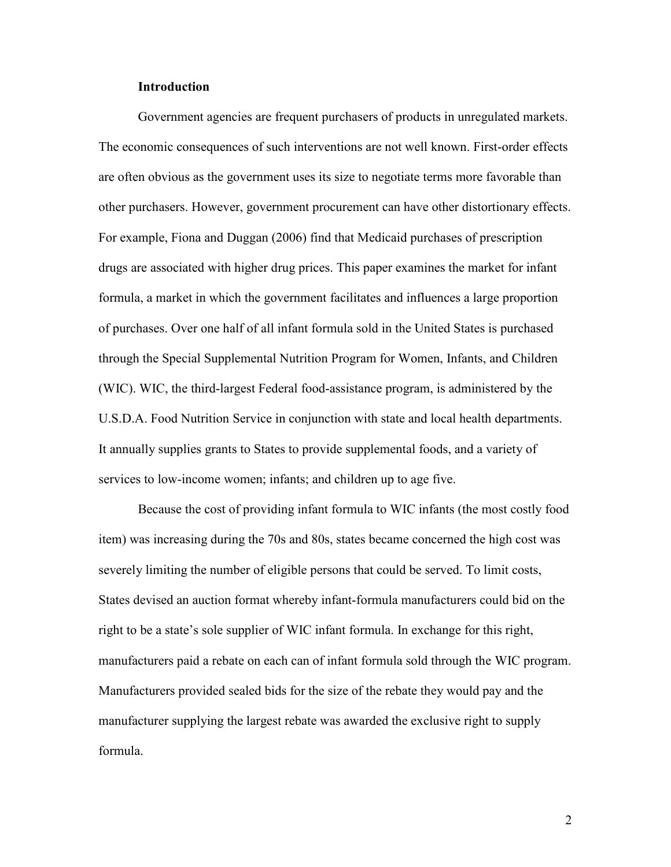#### Introduction

Government agencies are frequent purchasers of products in unregulated markets. The economic consequences of such interventions are not well known. First-order effects are often obvious as the government uses its size to negotiate terms more favorable than other purchasers. However, government procurement can have other distortionary effects. For example, Fiona and Duggan (2006) find that Medicaid purchases of prescription drugs are associated with higher drug prices. This paper examines the market for infant formula, a market in which the government facilitates and influences a large proportion of purchases. Over one half of all infant formula sold in the United States is purchased through the Special Supplemental Nutrition Program for Women, Infants, and Children (WIC). WIC, the third-largest Federal food-assistance program, is administered by the U.S.D.A. Food Nutrition Service in conjunction with state and local health departments. It annually supplies grants to States to provide supplemental foods, and a variety of services to low-income women; infants; and children up to age five.

Because the cost of providing infant formula to WIC infants (the most costly food item) was increasing during the 70s and 80s, states became concerned the high cost was severely limiting the number of eligible persons that could be served. To limit costs, States devised an auction format whereby infant-formula manufacturers could bid on the right to be a state's sole supplier of WIC infant formula. In exchange for this right, manufacturers paid a rebate on each can of infant formula sold through the WIC program. Manufacturers provided sealed bids for the size of the rebate they would pay and the manufacturer supplying the largest rebate was awarded the exclusive right to supply formula.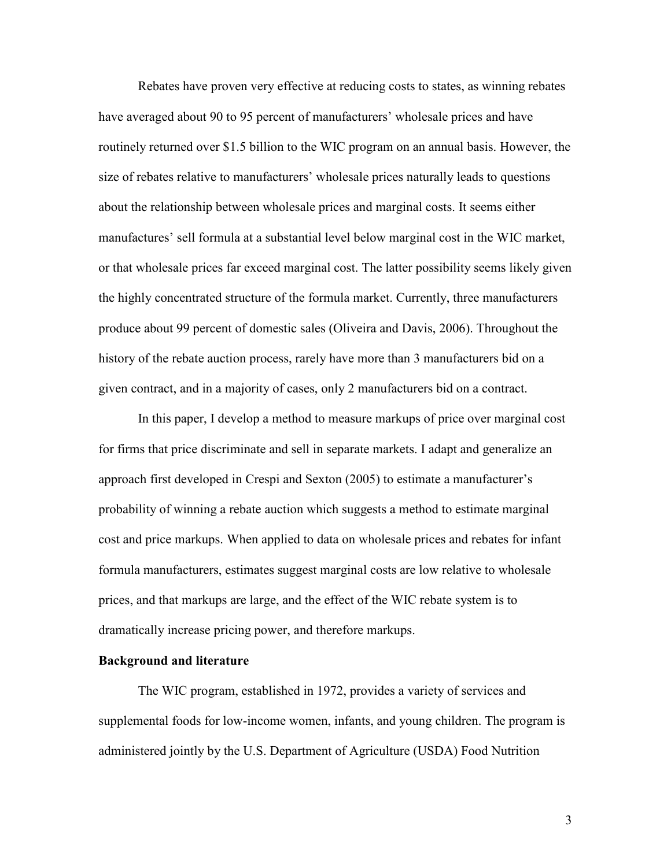Rebates have proven very effective at reducing costs to states, as winning rebates have averaged about 90 to 95 percent of manufacturers' wholesale prices and have routinely returned over \$1.5 billion to the WIC program on an annual basis. However, the size of rebates relative to manufacturers' wholesale prices naturally leads to questions about the relationship between wholesale prices and marginal costs. It seems either manufactures' sell formula at a substantial level below marginal cost in the WIC market, or that wholesale prices far exceed marginal cost. The latter possibility seems likely given the highly concentrated structure of the formula market. Currently, three manufacturers produce about 99 percent of domestic sales (Oliveira and Davis, 2006). Throughout the history of the rebate auction process, rarely have more than 3 manufacturers bid on a given contract, and in a majority of cases, only 2 manufacturers bid on a contract.

 In this paper, I develop a method to measure markups of price over marginal cost for firms that price discriminate and sell in separate markets. I adapt and generalize an approach first developed in Crespi and Sexton (2005) to estimate a manufacturer's probability of winning a rebate auction which suggests a method to estimate marginal cost and price markups. When applied to data on wholesale prices and rebates for infant formula manufacturers, estimates suggest marginal costs are low relative to wholesale prices, and that markups are large, and the effect of the WIC rebate system is to dramatically increase pricing power, and therefore markups.

#### Background and literature

 The WIC program, established in 1972, provides a variety of services and supplemental foods for low-income women, infants, and young children. The program is administered jointly by the U.S. Department of Agriculture (USDA) Food Nutrition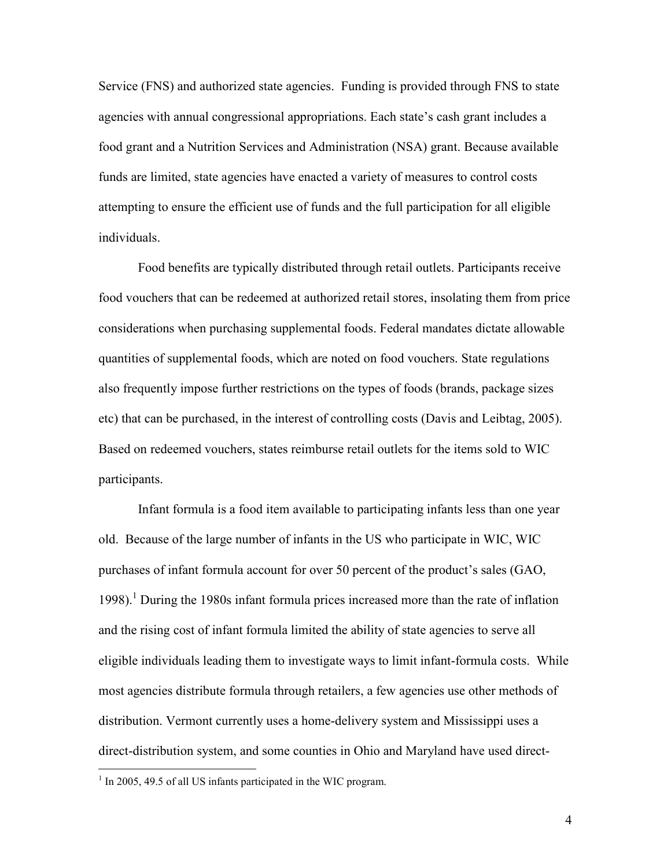Service (FNS) and authorized state agencies. Funding is provided through FNS to state agencies with annual congressional appropriations. Each state's cash grant includes a food grant and a Nutrition Services and Administration (NSA) grant. Because available funds are limited, state agencies have enacted a variety of measures to control costs attempting to ensure the efficient use of funds and the full participation for all eligible individuals.

Food benefits are typically distributed through retail outlets. Participants receive food vouchers that can be redeemed at authorized retail stores, insolating them from price considerations when purchasing supplemental foods. Federal mandates dictate allowable quantities of supplemental foods, which are noted on food vouchers. State regulations also frequently impose further restrictions on the types of foods (brands, package sizes etc) that can be purchased, in the interest of controlling costs (Davis and Leibtag, 2005). Based on redeemed vouchers, states reimburse retail outlets for the items sold to WIC participants.

Infant formula is a food item available to participating infants less than one year old. Because of the large number of infants in the US who participate in WIC, WIC purchases of infant formula account for over 50 percent of the product's sales (GAO, 1998).<sup>1</sup> During the 1980s infant formula prices increased more than the rate of inflation and the rising cost of infant formula limited the ability of state agencies to serve all eligible individuals leading them to investigate ways to limit infant-formula costs. While most agencies distribute formula through retailers, a few agencies use other methods of distribution. Vermont currently uses a home-delivery system and Mississippi uses a direct-distribution system, and some counties in Ohio and Maryland have used direct-

<u>.</u>

<sup>&</sup>lt;sup>1</sup> In 2005, 49.5 of all US infants participated in the WIC program.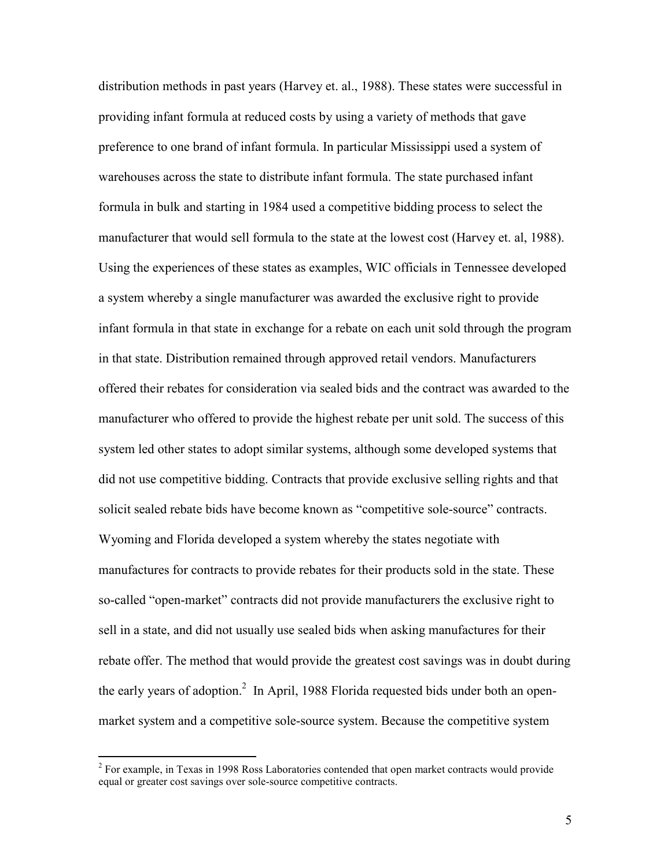distribution methods in past years (Harvey et. al., 1988). These states were successful in providing infant formula at reduced costs by using a variety of methods that gave preference to one brand of infant formula. In particular Mississippi used a system of warehouses across the state to distribute infant formula. The state purchased infant formula in bulk and starting in 1984 used a competitive bidding process to select the manufacturer that would sell formula to the state at the lowest cost (Harvey et. al, 1988). Using the experiences of these states as examples, WIC officials in Tennessee developed a system whereby a single manufacturer was awarded the exclusive right to provide infant formula in that state in exchange for a rebate on each unit sold through the program in that state. Distribution remained through approved retail vendors. Manufacturers offered their rebates for consideration via sealed bids and the contract was awarded to the manufacturer who offered to provide the highest rebate per unit sold. The success of this system led other states to adopt similar systems, although some developed systems that did not use competitive bidding. Contracts that provide exclusive selling rights and that solicit sealed rebate bids have become known as "competitive sole-source" contracts. Wyoming and Florida developed a system whereby the states negotiate with manufactures for contracts to provide rebates for their products sold in the state. These so-called "open-market" contracts did not provide manufacturers the exclusive right to sell in a state, and did not usually use sealed bids when asking manufactures for their rebate offer. The method that would provide the greatest cost savings was in doubt during the early years of adoption.<sup>2</sup> In April, 1988 Florida requested bids under both an openmarket system and a competitive sole-source system. Because the competitive system

<sup>&</sup>lt;sup>2</sup> For example, in Texas in 1998 Ross Laboratories contended that open market contracts would provide equal or greater cost savings over sole-source competitive contracts.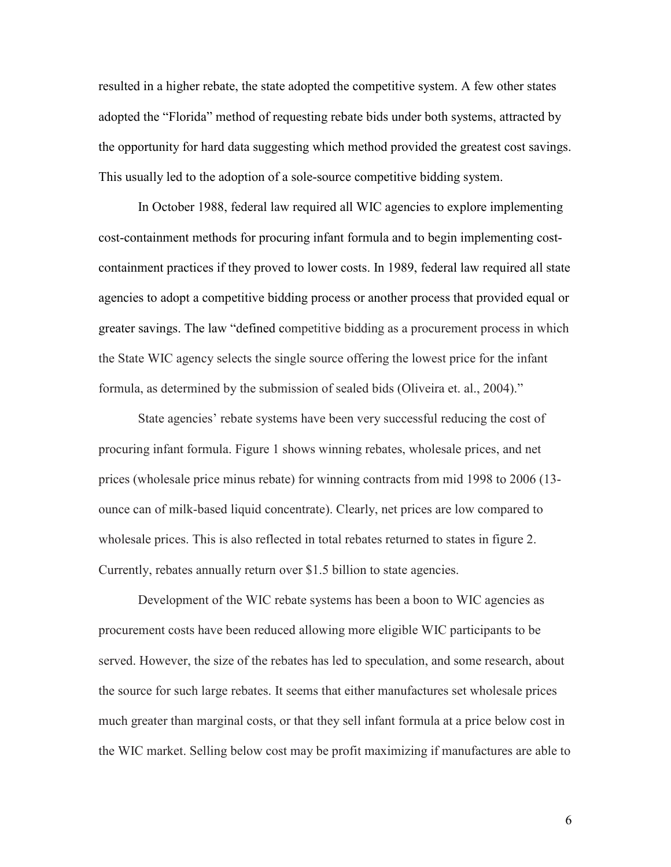resulted in a higher rebate, the state adopted the competitive system. A few other states adopted the "Florida" method of requesting rebate bids under both systems, attracted by the opportunity for hard data suggesting which method provided the greatest cost savings. This usually led to the adoption of a sole-source competitive bidding system.

In October 1988, federal law required all WIC agencies to explore implementing cost-containment methods for procuring infant formula and to begin implementing costcontainment practices if they proved to lower costs. In 1989, federal law required all state agencies to adopt a competitive bidding process or another process that provided equal or greater savings. The law "defined competitive bidding as a procurement process in which the State WIC agency selects the single source offering the lowest price for the infant formula, as determined by the submission of sealed bids (Oliveira et. al., 2004)."

State agencies' rebate systems have been very successful reducing the cost of procuring infant formula. Figure 1 shows winning rebates, wholesale prices, and net prices (wholesale price minus rebate) for winning contracts from mid 1998 to 2006 (13 ounce can of milk-based liquid concentrate). Clearly, net prices are low compared to wholesale prices. This is also reflected in total rebates returned to states in figure 2. Currently, rebates annually return over \$1.5 billion to state agencies.

Development of the WIC rebate systems has been a boon to WIC agencies as procurement costs have been reduced allowing more eligible WIC participants to be served. However, the size of the rebates has led to speculation, and some research, about the source for such large rebates. It seems that either manufactures set wholesale prices much greater than marginal costs, or that they sell infant formula at a price below cost in the WIC market. Selling below cost may be profit maximizing if manufactures are able to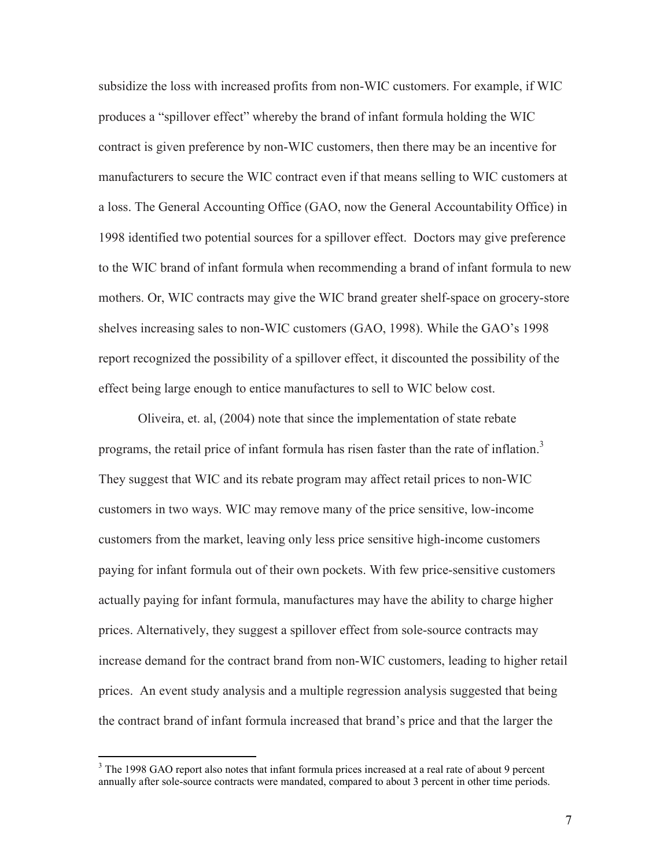subsidize the loss with increased profits from non-WIC customers. For example, if WIC produces a "spillover effect" whereby the brand of infant formula holding the WIC contract is given preference by non-WIC customers, then there may be an incentive for manufacturers to secure the WIC contract even if that means selling to WIC customers at a loss. The General Accounting Office (GAO, now the General Accountability Office) in 1998 identified two potential sources for a spillover effect. Doctors may give preference to the WIC brand of infant formula when recommending a brand of infant formula to new mothers. Or, WIC contracts may give the WIC brand greater shelf-space on grocery-store shelves increasing sales to non-WIC customers (GAO, 1998). While the GAO's 1998 report recognized the possibility of a spillover effect, it discounted the possibility of the effect being large enough to entice manufactures to sell to WIC below cost.

Oliveira, et. al, (2004) note that since the implementation of state rebate programs, the retail price of infant formula has risen faster than the rate of inflation.<sup>3</sup> They suggest that WIC and its rebate program may affect retail prices to non-WIC customers in two ways. WIC may remove many of the price sensitive, low-income customers from the market, leaving only less price sensitive high-income customers paying for infant formula out of their own pockets. With few price-sensitive customers actually paying for infant formula, manufactures may have the ability to charge higher prices. Alternatively, they suggest a spillover effect from sole-source contracts may increase demand for the contract brand from non-WIC customers, leading to higher retail prices. An event study analysis and a multiple regression analysis suggested that being the contract brand of infant formula increased that brand's price and that the larger the

<sup>&</sup>lt;sup>3</sup> The 1998 GAO report also notes that infant formula prices increased at a real rate of about 9 percent annually after sole-source contracts were mandated, compared to about 3 percent in other time periods.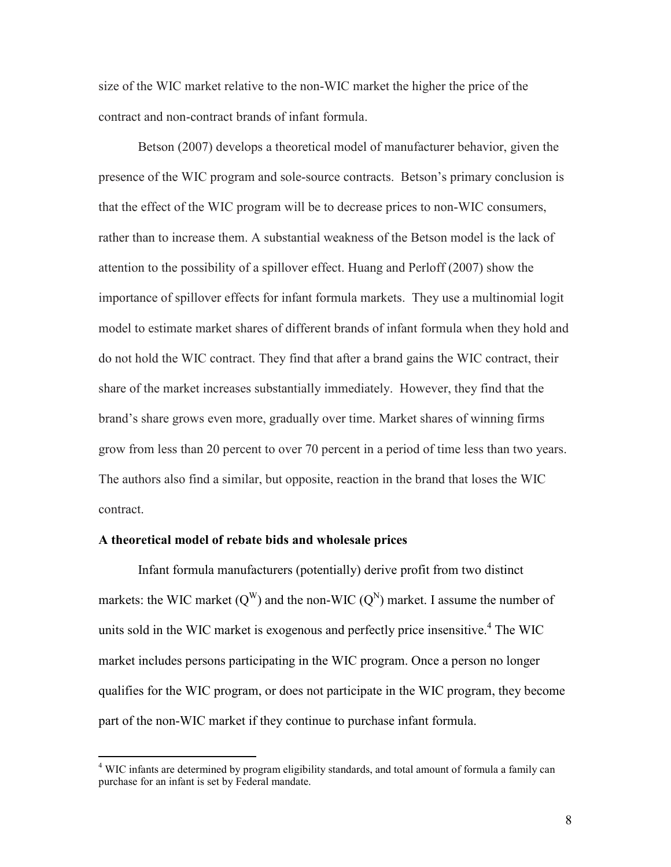size of the WIC market relative to the non-WIC market the higher the price of the contract and non-contract brands of infant formula.

Betson (2007) develops a theoretical model of manufacturer behavior, given the presence of the WIC program and sole-source contracts. Betson's primary conclusion is that the effect of the WIC program will be to decrease prices to non-WIC consumers, rather than to increase them. A substantial weakness of the Betson model is the lack of attention to the possibility of a spillover effect. Huang and Perloff (2007) show the importance of spillover effects for infant formula markets. They use a multinomial logit model to estimate market shares of different brands of infant formula when they hold and do not hold the WIC contract. They find that after a brand gains the WIC contract, their share of the market increases substantially immediately. However, they find that the brand's share grows even more, gradually over time. Market shares of winning firms grow from less than 20 percent to over 70 percent in a period of time less than two years. The authors also find a similar, but opposite, reaction in the brand that loses the WIC contract.

#### A theoretical model of rebate bids and wholesale prices

 Infant formula manufacturers (potentially) derive profit from two distinct markets: the WIC market  $(Q^W)$  and the non-WIC  $(Q^N)$  market. I assume the number of units sold in the WIC market is exogenous and perfectly price insensitive.<sup>4</sup> The WIC market includes persons participating in the WIC program. Once a person no longer qualifies for the WIC program, or does not participate in the WIC program, they become part of the non-WIC market if they continue to purchase infant formula.

 4 WIC infants are determined by program eligibility standards, and total amount of formula a family can purchase for an infant is set by Federal mandate.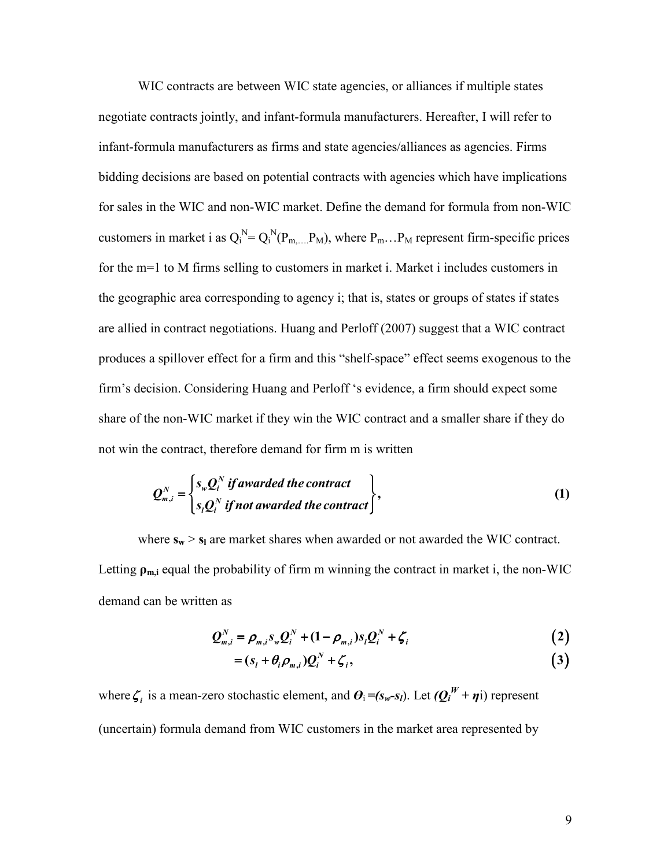WIC contracts are between WIC state agencies, or alliances if multiple states negotiate contracts jointly, and infant-formula manufacturers. Hereafter, I will refer to infant-formula manufacturers as firms and state agencies/alliances as agencies. Firms bidding decisions are based on potential contracts with agencies which have implications for sales in the WIC and non-WIC market. Define the demand for formula from non-WIC customers in market i as  $Q_i^N = Q_i^N(P_{m,...,P_M})$ , where  $P_m...P_M$  represent firm-specific prices for the m=1 to M firms selling to customers in market i. Market i includes customers in the geographic area corresponding to agency i; that is, states or groups of states if states are allied in contract negotiations. Huang and Perloff (2007) suggest that a WIC contract produces a spillover effect for a firm and this "shelf-space" effect seems exogenous to the firm's decision. Considering Huang and Perloff 's evidence, a firm should expect some share of the non-WIC market if they win the WIC contract and a smaller share if they do not win the contract, therefore demand for firm m is written

$$
Q_{m,i}^N = \begin{cases} s_{w} Q_i^N & \text{if awarded the contract} \\ s_i Q_i^N & \text{if not awarded the contract} \end{cases},
$$
\n(1)

where  $s_w > s_l$  are market shares when awarded or not awarded the WIC contract. Letting  $\rho_{m,i}$  equal the probability of firm m winning the contract in market i, the non-WIC demand can be written as

$$
Q_{m,i}^N = \rho_{m,i} s_{w} Q_i^N + (1 - \rho_{m,i}) s_i Q_i^N + \zeta_i
$$
 (2)

$$
= (s_i + \theta_i \rho_{m,i}) Q_i^N + \zeta_i, \qquad (3)
$$

where  $\zeta_i$  is a mean-zero stochastic element, and  $\theta_i = (s_w - s_l)$ . Let  $(Q_i^W + \eta i)$  represent (uncertain) formula demand from WIC customers in the market area represented by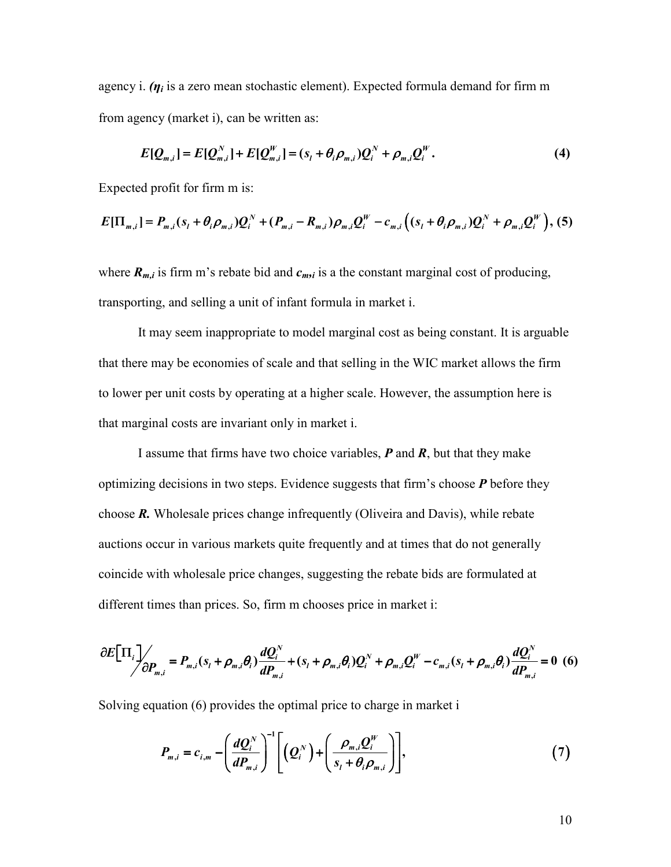agency i.  $(\eta_i)$  is a zero mean stochastic element). Expected formula demand for firm m from agency (market i), can be written as:

$$
E[Q_{m,i}] = E[Q_{m,i}^N] + E[Q_{m,i}^W] = (s_i + \theta_i \rho_{m,i})Q_i^N + \rho_{m,i}Q_i^W.
$$
\n(4)

Expected profit for firm m is:

$$
E[\Pi_{m,i}] = P_{m,i}(s_i + \theta_i \rho_{m,i})Q_i^N + (P_{m,i} - R_{m,i})\rho_{m,i}Q_i^W - c_{m,i}((s_i + \theta_i \rho_{m,i})Q_i^N + \rho_{m,i}Q_i^W), (5)
$$

where  $R_{m,i}$  is firm m's rebate bid and  $c_{m,i}$  is a the constant marginal cost of producing, transporting, and selling a unit of infant formula in market i.

It may seem inappropriate to model marginal cost as being constant. It is arguable that there may be economies of scale and that selling in the WIC market allows the firm to lower per unit costs by operating at a higher scale. However, the assumption here is that marginal costs are invariant only in market i.

I assume that firms have two choice variables,  $P$  and  $R$ , but that they make optimizing decisions in two steps. Evidence suggests that firm's choose  $P$  before they choose  $\mathbf{R}$ . Wholesale prices change infrequently (Oliveira and Davis), while rebate auctions occur in various markets quite frequently and at times that do not generally coincide with wholesale price changes, suggesting the rebate bids are formulated at different times than prices. So, firm m chooses price in market i:

$$
\frac{\partial E[\Pi_i]}{\partial P_{m,i}} = P_{m,i}(s_i + \rho_{m,i}\theta_i) \frac{dQ_i^N}{dP_{m,i}} + (s_i + \rho_{m,i}\theta_i)Q_i^N + \rho_{m,i}Q_i^W - c_{m,i}(s_i + \rho_{m,i}\theta_i) \frac{dQ_i^N}{dP_{m,i}} = 0
$$
 (6)

Solving equation (6) provides the optimal price to charge in market i

$$
P_{m,i}=c_{i,m}-\left(\frac{dQ_i^N}{dP_{m,i}}\right)^{-1}\left[\left(Q_i^N\right)+\left(\frac{\rho_{m,i}Q_i^W}{s_i+\theta_i\rho_{m,i}}\right)\right],\qquad(7)
$$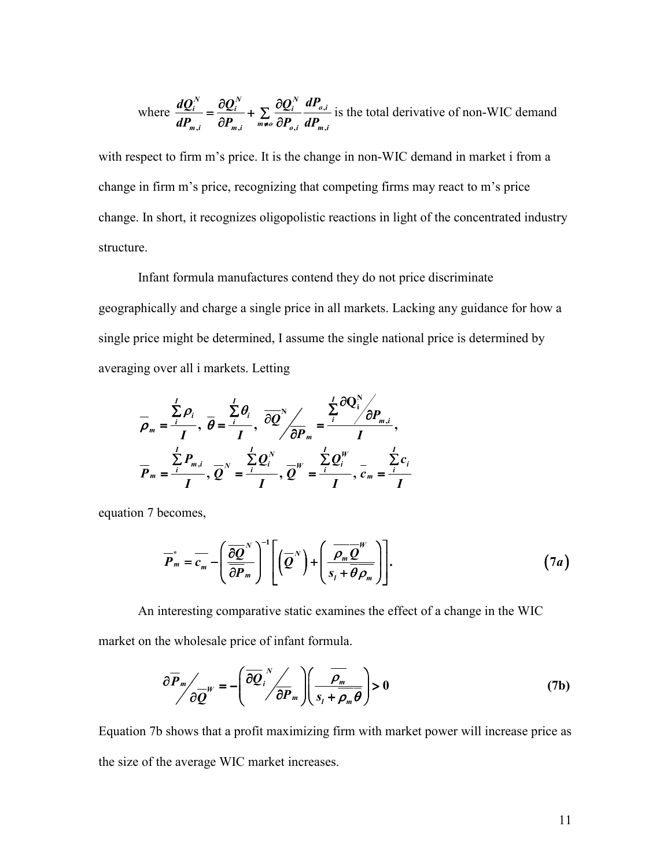where 
$$
\frac{dQ_i^N}{dP_{m,i}} = \frac{\partial Q_i^N}{\partial P_{m,i}} + \sum_{m \neq o} \frac{\partial Q_i^N}{\partial P_{o,i}} \frac{dP_{o,i}}{dP_{m,i}}
$$
 is the total derivative of non-WIC demand

with respect to firm m's price. It is the change in non-WIC demand in market i from a change in firm m's price, recognizing that competing firms may react to m's price change. In short, it recognizes oligopolistic reactions in light of the concentrated industry structure.

Infant formula manufactures contend they do not price discriminate geographically and charge a single price in all markets. Lacking any guidance for how a single price might be determined, I assume the single national price is determined by averaging over all i markets. Letting

$$
\overline{\rho}_m = \frac{\sum\limits_{i}^{I} \rho_i}{I}, \overline{\theta} = \frac{\sum\limits_{i}^{I} \theta_i}{I}, \overline{\partial Q}^N / \overline{\partial P}_m = \frac{\sum\limits_{i}^{I} \partial Q_i^N}{I},
$$
\n
$$
\overline{P}_m = \frac{\sum\limits_{i}^{I} P_{m,i}}{I}, \overline{Q}^N = \frac{\sum\limits_{i}^{I} Q_i^N}{I}, \overline{Q}^W = \frac{\sum\limits_{i}^{I} Q_i^W}{I}, \overline{c}_m = \frac{\sum\limits_{i}^{I} c_i}{I}
$$

equation 7 becomes,

$$
\overline{P}_m^* = \overline{c_m} - \left(\frac{\overline{\partial Q}^N}{\overline{\partial P}_m}\right)^{-1} \left[ \left(\overline{Q}^N\right) + \left(\frac{\overline{\rho_m Q}^W}{s_t + \overline{\theta \rho_m}}\right) \right]. \tag{7a}
$$

An interesting comparative static examines the effect of a change in the WIC market on the wholesale price of infant formula.

$$
\frac{\partial \overline{P}_m}{\partial \overline{Q}^W} = -\left(\frac{\overline{\partial Q}_i^N}{\partial P_m}\right) \left(\frac{\overline{\rho_m}}{s_i + \overline{\rho_m \theta}}\right) > 0 \tag{7b}
$$

Equation 7b shows that a profit maximizing firm with market power will increase price as the size of the average WIC market increases.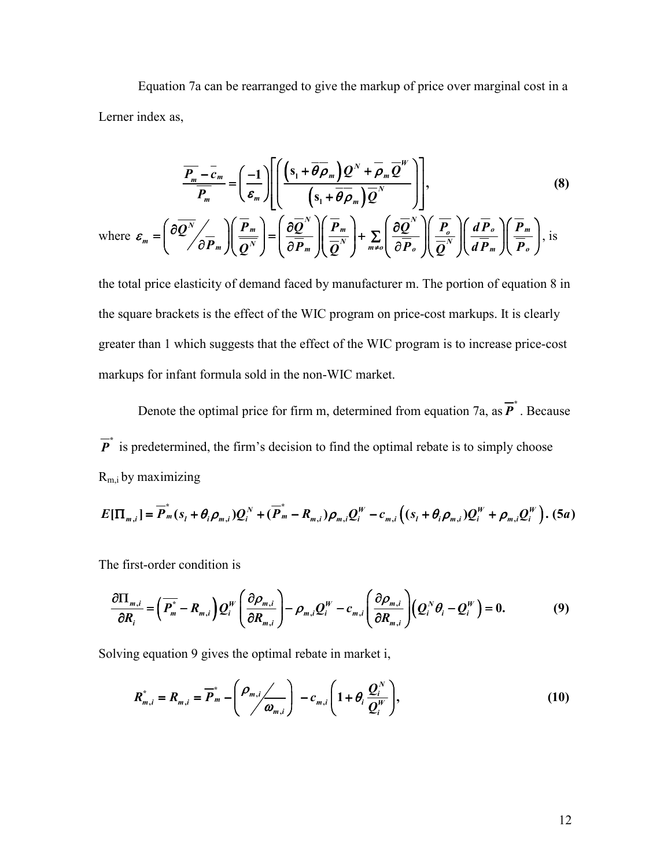Equation 7a can be rearranged to give the markup of price over marginal cost in a Lerner index as,

$$
\overline{\frac{P_m - c_m}{P_m}} = \left(\frac{-1}{\varepsilon_m}\right) \left[ \left(\frac{(s_1 + \overline{\theta} \overline{\rho}_m) \mathcal{Q}^N + \overline{\rho}_m \overline{\mathcal{Q}}^W}{(s_1 + \overline{\theta} \overline{\rho}_m) \overline{\mathcal{Q}}^N}\right) \right],
$$
\n(8)

\nwhere  $\varepsilon_m = \left(\frac{\partial \overline{\mathcal{Q}}^N}{\partial \overline{P}_m}\right) \left(\frac{\overline{P}_m}{\overline{\mathcal{Q}}^N}\right) = \left(\frac{\partial \overline{\mathcal{Q}}^N}{\partial \overline{P}_m}\right) \left(\frac{\overline{P}_m}{\overline{\mathcal{Q}}^N}\right) + \sum_{m \neq 0} \left(\frac{\partial \overline{\mathcal{Q}}^N}{\partial \overline{P}_o}\right) \left(\frac{\overline{P}_o}{\overline{\mathcal{Q}}^N}\right) \left(\frac{\overline{P}_m}{\overline{\mathcal{Q}}^N}\right),$  is

the total price elasticity of demand faced by manufacturer m. The portion of equation 8 in the square brackets is the effect of the WIC program on price-cost markups. It is clearly greater than 1 which suggests that the effect of the WIC program is to increase price-cost markups for infant formula sold in the non-WIC market.

Denote the optimal price for firm m, determined from equation 7a, as  $\overline{P}^*$ . Because  $\overline{P}^*$  is predetermined, the firm's decision to find the optimal rebate is to simply choose  $R<sub>m,i</sub>$  by maximizing

$$
E[\Pi_{m,i}] = \overline{P}_m^*(s_i + \theta_i \rho_{m,i})Q_i^N + (\overline{P}_m^* - R_{m,i})\rho_{m,i}Q_i^W - c_{m,i}((s_i + \theta_i \rho_{m,i})Q_i^W + \rho_{m,i}Q_i^W). (5a)
$$

The first-order condition is

$$
\frac{\partial \Pi_{m,i}}{\partial R_i} = \left(\overline{P_m^*} - R_{m,i}\right) Q_i^W \left(\frac{\partial \rho_{m,i}}{\partial R_{m,i}}\right) - \rho_{m,i} Q_i^W - c_{m,i} \left(\frac{\partial \rho_{m,i}}{\partial R_{m,i}}\right) \left(Q_i^N \theta_i - Q_i^W\right) = 0. \tag{9}
$$

Solving equation 9 gives the optimal rebate in market i,

$$
R_{m,i}^* = R_{m,i} = \overline{P}_m^* - \left(\frac{\rho_{m,i}}{\omega_{m,i}}\right) - c_{m,i} \left(1 + \theta_i \frac{\mathcal{Q}_i^N}{\mathcal{Q}_i^W}\right),\tag{10}
$$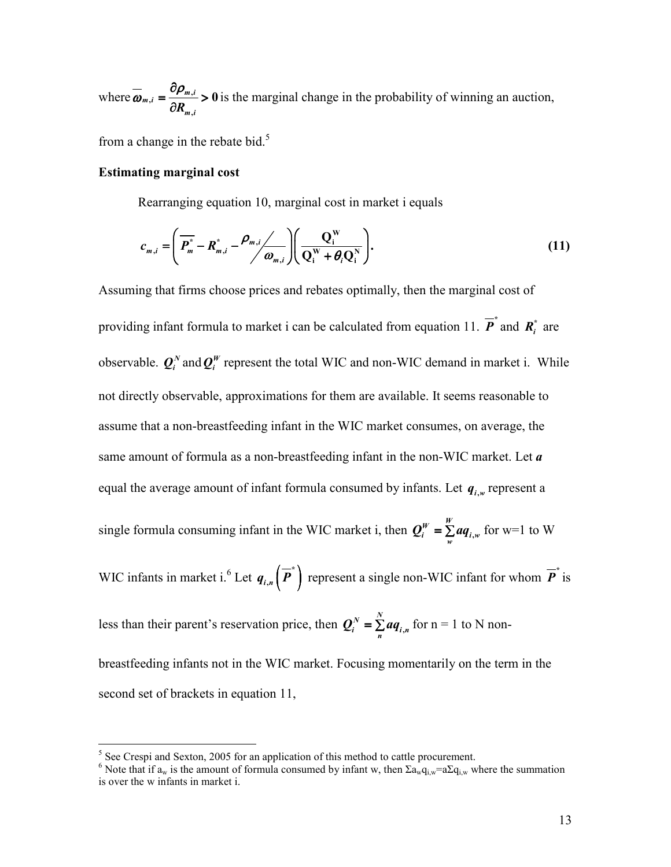where  $\overline{\omega}_{m,i} = \frac{\omega_{\mu,m,i}}{\sqrt{2\pi}}$ ,  $_{m,i}=\frac{\partial \mathcal{P}_{m,i}}{\partial R_{m,i}}>0$  $\frac{\partial}{\partial \rho_{m,i}} = \frac{\partial \rho_{j}}{\partial \rho_{j}}$  $=\frac{P_{m,i}}{2}$ ∂ is the marginal change in the probability of winning an auction,

from a change in the rebate bid. $5$ 

#### Estimating marginal cost

Rearranging equation 10, marginal cost in market i equals

$$
c_{m,i} = \left(\overline{P_m^*} - R_{m,i}^* - \frac{\rho_{m,i}}{\omega_{m,i}}\right) \left(\frac{Q_i^W}{Q_i^W + \theta_i Q_i^N}\right).
$$
\n(11)

Assuming that firms choose prices and rebates optimally, then the marginal cost of providing infant formula to market i can be calculated from equation 11.  $\overline{P}^*$  and  $\overline{R}^*_i$  are observable.  $\mathbf{Q}_i^N$  and  $\mathbf{Q}_i^W$  represent the total WIC and non-WIC demand in market i. While not directly observable, approximations for them are available. It seems reasonable to assume that a non-breastfeeding infant in the WIC market consumes, on average, the same amount of formula as a non-breastfeeding infant in the non-WIC market. Let  $\boldsymbol{a}$ equal the average amount of infant formula consumed by infants. Let  $q_{i,w}$  represent a single formula consuming infant in the WIC market i, then  $Q_i^W = \sum aq_i$ ,  $W = \sum_{i=1}^{W}$  $Q_i^W = \sum_{w} a q_{i,w}$  for w=1 to W WIC infants in market i.<sup>6</sup> Let  $q_{i,n}(\overline{P}^*)$  represent a single non-WIC infant for whom  $\overline{P}^*$  is less than their parent's reservation price, then  $Q_i^N = \sum aq_i$ ,  $N = \sum_{i=1}^{N}$  $\mathbf{Q}_{i}^{N} = \sum_{n} a q_{i,n}$  for n = 1 to N nonbreastfeeding infants not in the WIC market. Focusing momentarily on the term in the

second set of brackets in equation 11,

<sup>&</sup>lt;sup>5</sup> See Crespi and Sexton, 2005 for an application of this method to cattle procurement.

<sup>&</sup>lt;sup>6</sup> Note that if  $a_w$  is the amount of formula consumed by infant w, then  $\Sigma a_w q_{i,w} = a \Sigma q_{i,w}$  where the summation is over the w infants in market i.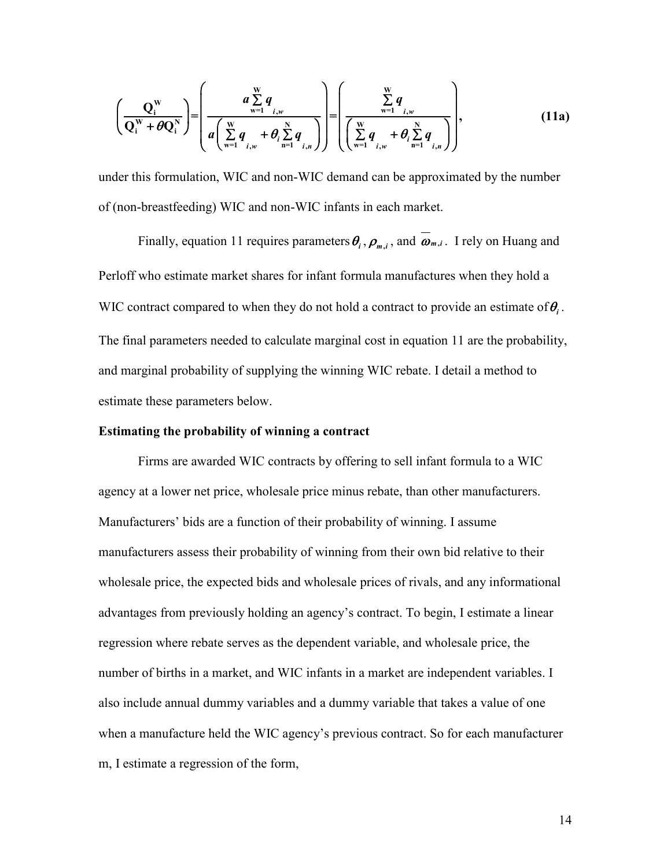$$
\left(\frac{Q_i^{\mathbf{W}}}{Q_i^{\mathbf{W}} + \theta Q_i^{\mathbf{N}}}\right) = \left(\frac{a \sum_{w=1}^{\mathbf{W}} q}{a \left(\sum_{w=1}^{\mathbf{W}} \frac{q}{i,w} + \theta_i \sum_{n=1}^{\mathbf{N}} q_{i,n}\right)}\right) = \left(\frac{\sum_{w=1}^{\mathbf{W}} q}{\left(\sum_{w=1}^{\mathbf{W}} \frac{q}{i,w} + \theta_i \sum_{n=1}^{\mathbf{N}} q_{i,n}\right)}\right),\tag{11a}
$$

under this formulation, WIC and non-WIC demand can be approximated by the number of (non-breastfeeding) WIC and non-WIC infants in each market.

Finally, equation 11 requires parameters  $\theta_i$ ,  $\rho_{m,i}$ , and  $\omega_{m,i}$ . I rely on Huang and Perloff who estimate market shares for infant formula manufactures when they hold a WIC contract compared to when they do not hold a contract to provide an estimate of  $\theta$ . The final parameters needed to calculate marginal cost in equation 11 are the probability, and marginal probability of supplying the winning WIC rebate. I detail a method to estimate these parameters below.

#### Estimating the probability of winning a contract

Firms are awarded WIC contracts by offering to sell infant formula to a WIC agency at a lower net price, wholesale price minus rebate, than other manufacturers. Manufacturers' bids are a function of their probability of winning. I assume manufacturers assess their probability of winning from their own bid relative to their wholesale price, the expected bids and wholesale prices of rivals, and any informational advantages from previously holding an agency's contract. To begin, I estimate a linear regression where rebate serves as the dependent variable, and wholesale price, the number of births in a market, and WIC infants in a market are independent variables. I also include annual dummy variables and a dummy variable that takes a value of one when a manufacture held the WIC agency's previous contract. So for each manufacturer m, I estimate a regression of the form,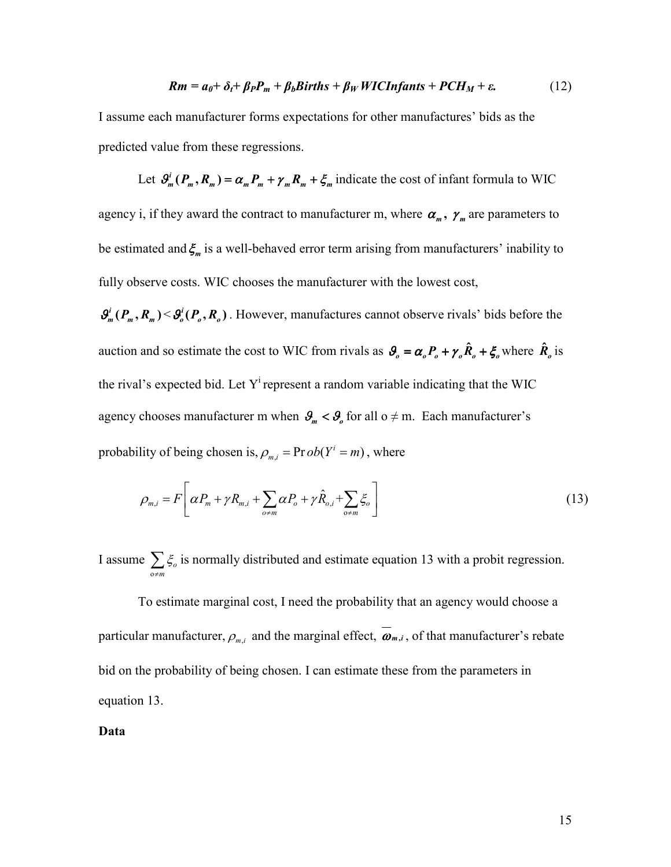$$
Rm = a_0 + \delta_t + \beta_P P_m + \beta_b \text{Births} + \beta_W \text{WICInfants} + \text{PCH}_M + \varepsilon. \tag{12}
$$

I assume each manufacturer forms expectations for other manufactures' bids as the predicted value from these regressions.

Let  $\mathcal{S}_m^i(P_m, R_m) = \alpha_m P_m + \gamma_m R_m + \xi_m$  indicate the cost of infant formula to WIC agency i, if they award the contract to manufacturer m, where  $\alpha_m$ ,  $\gamma_m$  are parameters to be estimated and  $\xi_m$  is a well-behaved error term arising from manufacturers' inability to fully observe costs. WIC chooses the manufacturer with the lowest cost,

 $\mathcal{G}_m^i(P_m, R_m) \leq \mathcal{G}_o^i(P_o, R_o)$ . However, manufactures cannot observe rivals' bids before the auction and so estimate the cost to WIC from rivals as  $\theta_o = \alpha_o P_o + \gamma_o \hat{R}_o + \xi_o$  where  $\hat{R}_o$  is the rival's expected bid. Let  $Y^i$  represent a random variable indicating that the WIC agency chooses manufacturer m when  $\mathcal{G}_m < \mathcal{G}_o$  for all o  $\neq$  m. Each manufacturer's probability of being chosen is,  $\rho_{m,i} = \text{Pr}\,ob(Y^i = m)$ , where

$$
\rho_{m,i} = F\left[\alpha P_m + \gamma R_{m,i} + \sum_{o \neq m} \alpha P_o + \gamma \hat{R}_{o,i} + \sum_{o \neq m} \xi_o\right]
$$
\n(13)

I assume o o m ξ  $\sum_{\phi \neq m} \xi_o$  is normally distributed and estimate equation 13 with a probit regression.

To estimate marginal cost, I need the probability that an agency would choose a particular manufacturer,  $\rho_{m,i}$  and the marginal effect,  $\boldsymbol{\omega}_{m,i}$ , of that manufacturer's rebate bid on the probability of being chosen. I can estimate these from the parameters in equation 13.

Data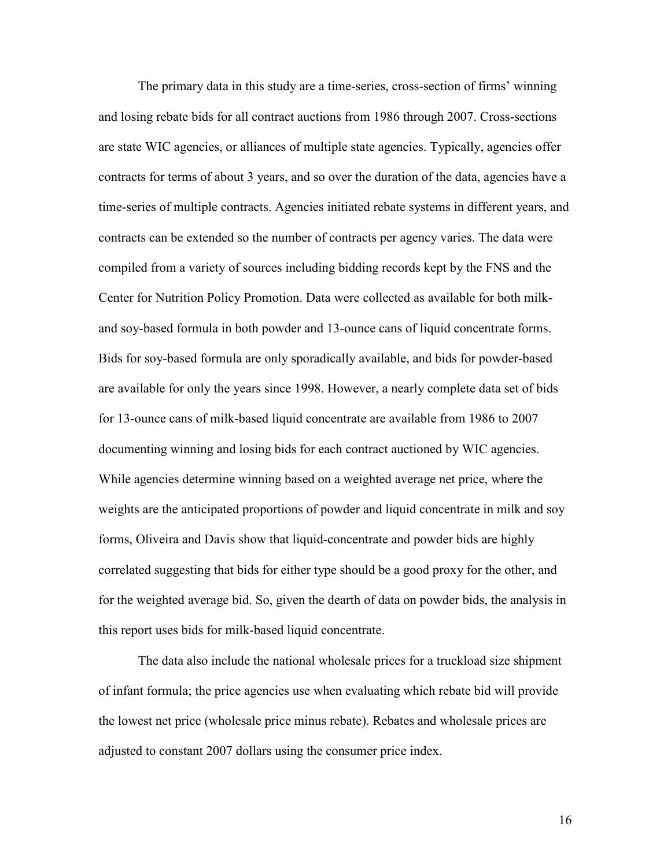The primary data in this study are a time-series, cross-section of firms' winning and losing rebate bids for all contract auctions from 1986 through 2007. Cross-sections are state WIC agencies, or alliances of multiple state agencies. Typically, agencies offer contracts for terms of about 3 years, and so over the duration of the data, agencies have a time-series of multiple contracts. Agencies initiated rebate systems in different years, and contracts can be extended so the number of contracts per agency varies. The data were compiled from a variety of sources including bidding records kept by the FNS and the Center for Nutrition Policy Promotion. Data were collected as available for both milkand soy-based formula in both powder and 13-ounce cans of liquid concentrate forms. Bids for soy-based formula are only sporadically available, and bids for powder-based are available for only the years since 1998. However, a nearly complete data set of bids for 13-ounce cans of milk-based liquid concentrate are available from 1986 to 2007 documenting winning and losing bids for each contract auctioned by WIC agencies. While agencies determine winning based on a weighted average net price, where the weights are the anticipated proportions of powder and liquid concentrate in milk and soy forms, Oliveira and Davis show that liquid-concentrate and powder bids are highly correlated suggesting that bids for either type should be a good proxy for the other, and for the weighted average bid. So, given the dearth of data on powder bids, the analysis in this report uses bids for milk-based liquid concentrate.

 The data also include the national wholesale prices for a truckload size shipment of infant formula; the price agencies use when evaluating which rebate bid will provide the lowest net price (wholesale price minus rebate). Rebates and wholesale prices are adjusted to constant 2007 dollars using the consumer price index.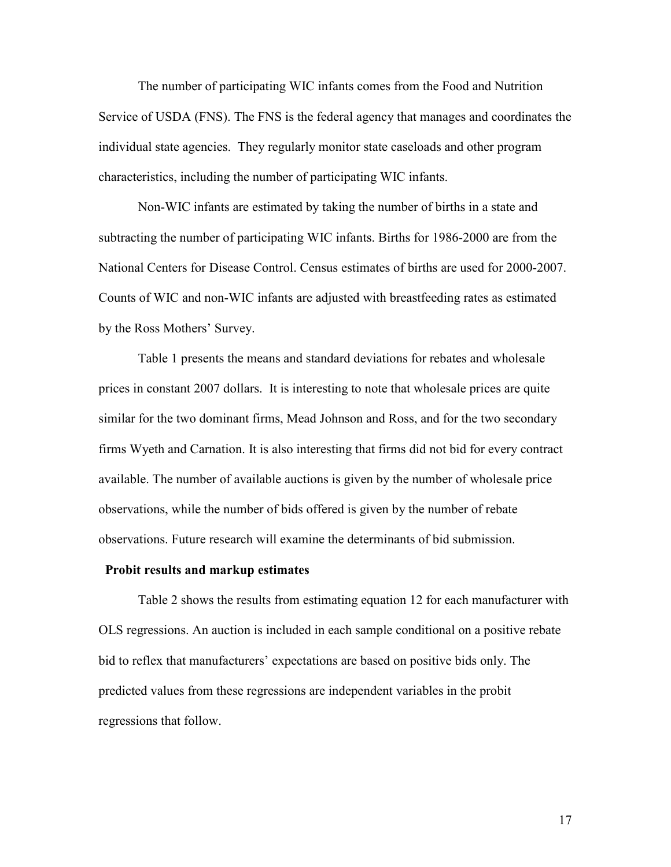The number of participating WIC infants comes from the Food and Nutrition Service of USDA (FNS). The FNS is the federal agency that manages and coordinates the individual state agencies. They regularly monitor state caseloads and other program characteristics, including the number of participating WIC infants.

 Non-WIC infants are estimated by taking the number of births in a state and subtracting the number of participating WIC infants. Births for 1986-2000 are from the National Centers for Disease Control. Census estimates of births are used for 2000-2007. Counts of WIC and non-WIC infants are adjusted with breastfeeding rates as estimated by the Ross Mothers' Survey.

 Table 1 presents the means and standard deviations for rebates and wholesale prices in constant 2007 dollars. It is interesting to note that wholesale prices are quite similar for the two dominant firms, Mead Johnson and Ross, and for the two secondary firms Wyeth and Carnation. It is also interesting that firms did not bid for every contract available. The number of available auctions is given by the number of wholesale price observations, while the number of bids offered is given by the number of rebate observations. Future research will examine the determinants of bid submission.

#### Probit results and markup estimates

Table 2 shows the results from estimating equation 12 for each manufacturer with OLS regressions. An auction is included in each sample conditional on a positive rebate bid to reflex that manufacturers' expectations are based on positive bids only. The predicted values from these regressions are independent variables in the probit regressions that follow.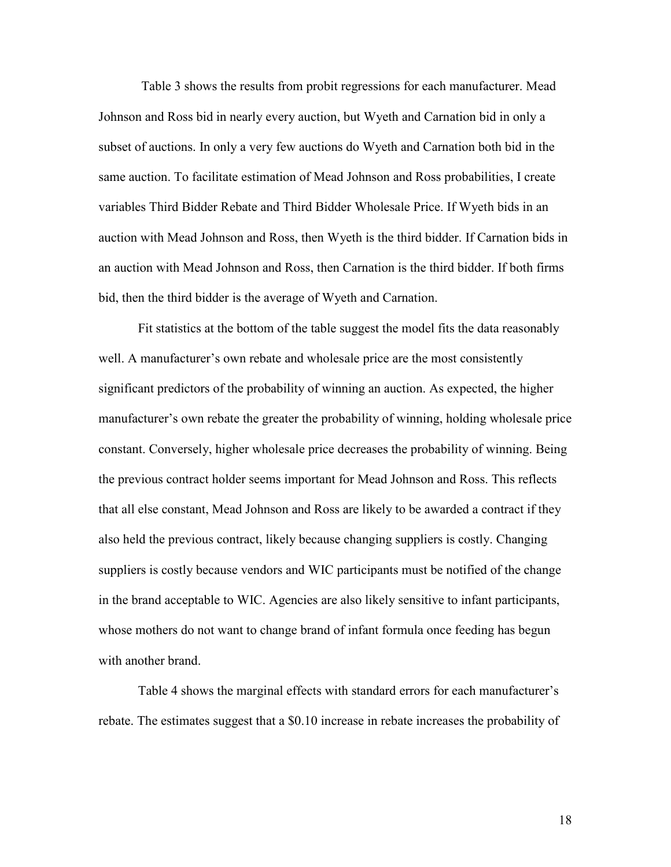Table 3 shows the results from probit regressions for each manufacturer. Mead Johnson and Ross bid in nearly every auction, but Wyeth and Carnation bid in only a subset of auctions. In only a very few auctions do Wyeth and Carnation both bid in the same auction. To facilitate estimation of Mead Johnson and Ross probabilities, I create variables Third Bidder Rebate and Third Bidder Wholesale Price. If Wyeth bids in an auction with Mead Johnson and Ross, then Wyeth is the third bidder. If Carnation bids in an auction with Mead Johnson and Ross, then Carnation is the third bidder. If both firms bid, then the third bidder is the average of Wyeth and Carnation.

Fit statistics at the bottom of the table suggest the model fits the data reasonably well. A manufacturer's own rebate and wholesale price are the most consistently significant predictors of the probability of winning an auction. As expected, the higher manufacturer's own rebate the greater the probability of winning, holding wholesale price constant. Conversely, higher wholesale price decreases the probability of winning. Being the previous contract holder seems important for Mead Johnson and Ross. This reflects that all else constant, Mead Johnson and Ross are likely to be awarded a contract if they also held the previous contract, likely because changing suppliers is costly. Changing suppliers is costly because vendors and WIC participants must be notified of the change in the brand acceptable to WIC. Agencies are also likely sensitive to infant participants, whose mothers do not want to change brand of infant formula once feeding has begun with another brand.

Table 4 shows the marginal effects with standard errors for each manufacturer's rebate. The estimates suggest that a \$0.10 increase in rebate increases the probability of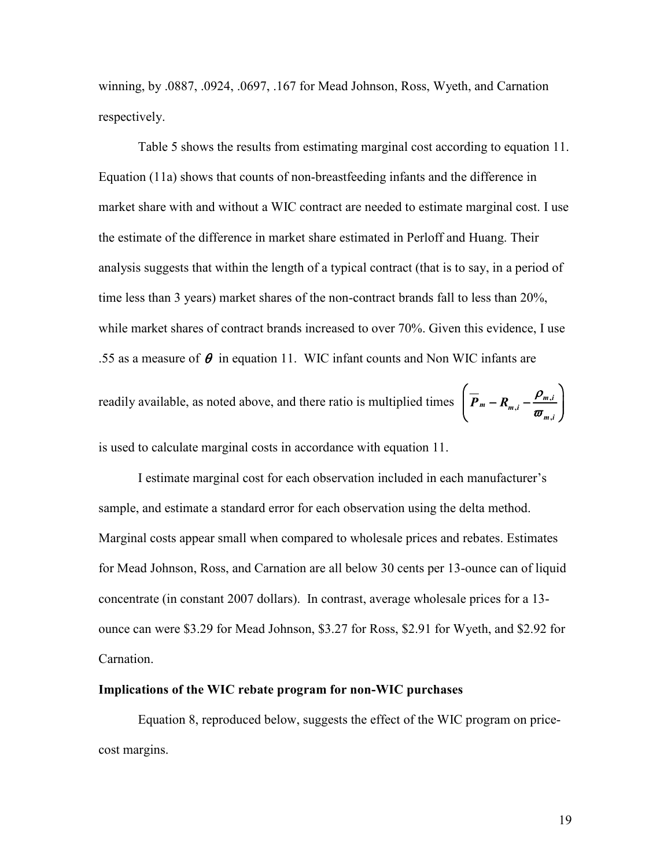winning, by .0887, .0924, .0697, .167 for Mead Johnson, Ross, Wyeth, and Carnation respectively.

 Table 5 shows the results from estimating marginal cost according to equation 11. Equation (11a) shows that counts of non-breastfeeding infants and the difference in market share with and without a WIC contract are needed to estimate marginal cost. I use the estimate of the difference in market share estimated in Perloff and Huang. Their analysis suggests that within the length of a typical contract (that is to say, in a period of time less than 3 years) market shares of the non-contract brands fall to less than 20%, while market shares of contract brands increased to over 70%. Given this evidence, I use .55 as a measure of  $\theta$  in equation 11. WIC infant counts and Non WIC infants are readily available, as noted above, and there ratio is multiplied times  $\boxed{\overline{P}_m - R_{m,i} - \frac{P_{m,i}}{\sigma}}$ ,  $_{m} - R_{m,i} - \frac{P_{m,i}}{\sqrt{2}}$ m i  $\overline{P}_m - R_{m,i} - \frac{\rho_n}{\rho}$  $\left( \overline{P}_m - R_{m,i} - \frac{\rho_{m,i}}{\sigma_{m,i}} \right)$  $\begin{pmatrix} \sigma_{m,i} \end{pmatrix}$ 

is used to calculate marginal costs in accordance with equation 11.

 I estimate marginal cost for each observation included in each manufacturer's sample, and estimate a standard error for each observation using the delta method. Marginal costs appear small when compared to wholesale prices and rebates. Estimates for Mead Johnson, Ross, and Carnation are all below 30 cents per 13-ounce can of liquid concentrate (in constant 2007 dollars). In contrast, average wholesale prices for a 13 ounce can were \$3.29 for Mead Johnson, \$3.27 for Ross, \$2.91 for Wyeth, and \$2.92 for Carnation.

#### Implications of the WIC rebate program for non-WIC purchases

Equation 8, reproduced below, suggests the effect of the WIC program on pricecost margins.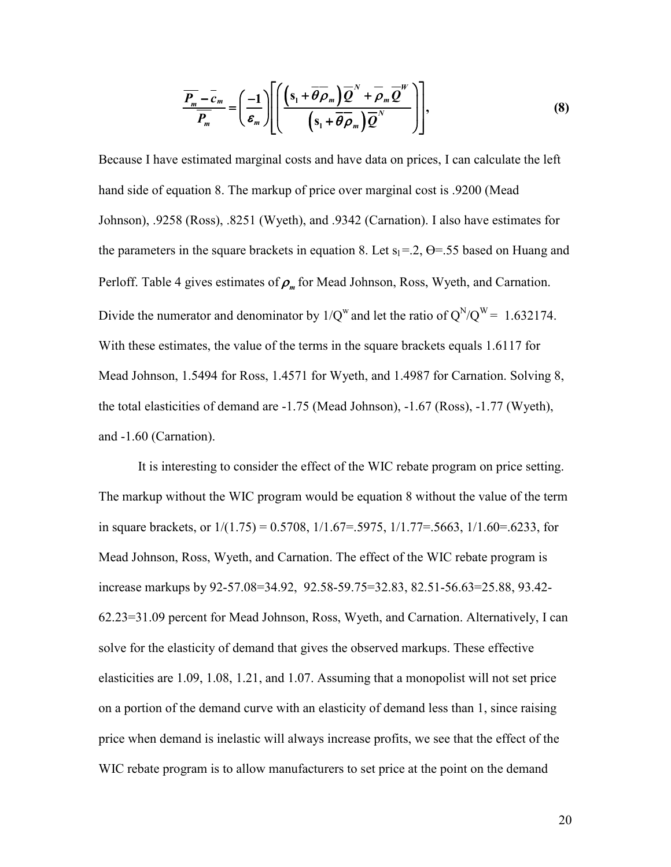$$
\overline{\frac{P_m}{P_m}} - \overline{c}_m = \left(\frac{-1}{\varepsilon_m}\right) \left[ \left(\frac{\left(s_1 + \overline{\theta} \overline{\rho}_m\right) \overline{Q}^N + \overline{\rho}_m \overline{Q}^W}{\left(s_1 + \overline{\theta} \overline{\rho}_m\right) \overline{Q}^N}\right)\right],\tag{8}
$$

Because I have estimated marginal costs and have data on prices, I can calculate the left hand side of equation 8. The markup of price over marginal cost is .9200 (Mead Johnson), .9258 (Ross), .8251 (Wyeth), and .9342 (Carnation). I also have estimates for the parameters in the square brackets in equation 8. Let  $s_1 = 2$ ,  $\Theta = .55$  based on Huang and Perloff. Table 4 gives estimates of  $\rho_m$  for Mead Johnson, Ross, Wyeth, and Carnation. Divide the numerator and denominator by  $1/Q^w$  and let the ratio of  $Q^N/Q^W = 1.632174$ . With these estimates, the value of the terms in the square brackets equals 1.6117 for Mead Johnson, 1.5494 for Ross, 1.4571 for Wyeth, and 1.4987 for Carnation. Solving 8, the total elasticities of demand are -1.75 (Mead Johnson), -1.67 (Ross), -1.77 (Wyeth), and -1.60 (Carnation).

It is interesting to consider the effect of the WIC rebate program on price setting. The markup without the WIC program would be equation 8 without the value of the term in square brackets, or  $1/(1.75) = 0.5708$ ,  $1/1.67 = 5975$ ,  $1/1.77 = 5663$ ,  $1/1.60 = 6233$ , for Mead Johnson, Ross, Wyeth, and Carnation. The effect of the WIC rebate program is increase markups by 92-57.08=34.92, 92.58-59.75=32.83, 82.51-56.63=25.88, 93.42- 62.23=31.09 percent for Mead Johnson, Ross, Wyeth, and Carnation. Alternatively, I can solve for the elasticity of demand that gives the observed markups. These effective elasticities are 1.09, 1.08, 1.21, and 1.07. Assuming that a monopolist will not set price on a portion of the demand curve with an elasticity of demand less than 1, since raising price when demand is inelastic will always increase profits, we see that the effect of the WIC rebate program is to allow manufacturers to set price at the point on the demand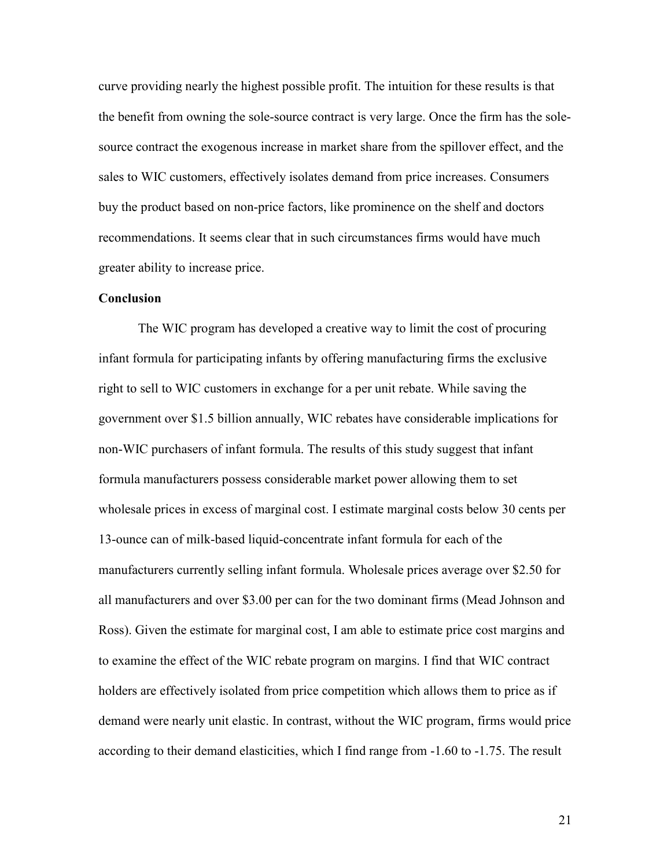curve providing nearly the highest possible profit. The intuition for these results is that the benefit from owning the sole-source contract is very large. Once the firm has the solesource contract the exogenous increase in market share from the spillover effect, and the sales to WIC customers, effectively isolates demand from price increases. Consumers buy the product based on non-price factors, like prominence on the shelf and doctors recommendations. It seems clear that in such circumstances firms would have much greater ability to increase price.

#### Conclusion

The WIC program has developed a creative way to limit the cost of procuring infant formula for participating infants by offering manufacturing firms the exclusive right to sell to WIC customers in exchange for a per unit rebate. While saving the government over \$1.5 billion annually, WIC rebates have considerable implications for non-WIC purchasers of infant formula. The results of this study suggest that infant formula manufacturers possess considerable market power allowing them to set wholesale prices in excess of marginal cost. I estimate marginal costs below 30 cents per 13-ounce can of milk-based liquid-concentrate infant formula for each of the manufacturers currently selling infant formula. Wholesale prices average over \$2.50 for all manufacturers and over \$3.00 per can for the two dominant firms (Mead Johnson and Ross). Given the estimate for marginal cost, I am able to estimate price cost margins and to examine the effect of the WIC rebate program on margins. I find that WIC contract holders are effectively isolated from price competition which allows them to price as if demand were nearly unit elastic. In contrast, without the WIC program, firms would price according to their demand elasticities, which I find range from -1.60 to -1.75. The result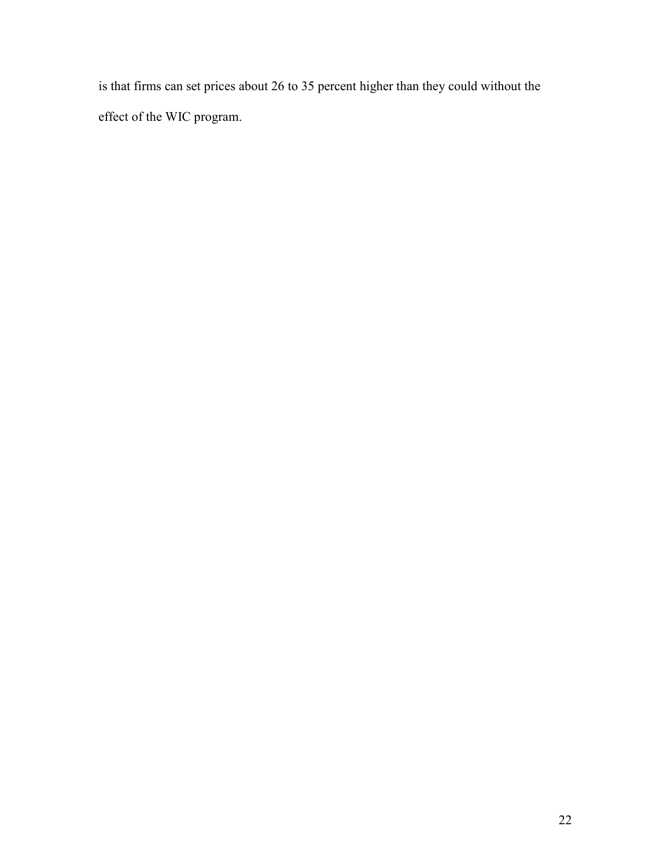is that firms can set prices about 26 to 35 percent higher than they could without the effect of the WIC program.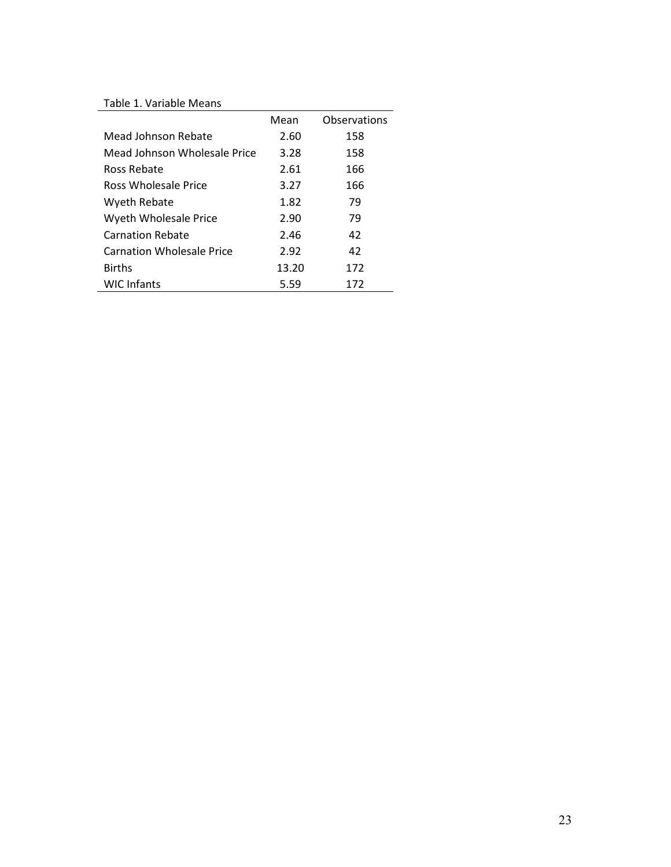# Table 1. Variable Means

| Table I. Variable Means          |       |              |
|----------------------------------|-------|--------------|
|                                  | Mean  | Observations |
| Mead Johnson Rebate              | 2.60  | 158          |
| Mead Johnson Wholesale Price     | 3.28  | 158          |
| Ross Rebate                      | 2.61  | 166          |
| Ross Wholesale Price             | 3.27  | 166          |
| Wyeth Rebate                     | 1.82  | 79           |
| Wyeth Wholesale Price            | 2.90  | 79           |
| <b>Carnation Rebate</b>          | 2.46  | 42           |
| <b>Carnation Wholesale Price</b> | 2.92  | 42           |
| <b>Births</b>                    | 13.20 | 172          |
| <b>WIC Infants</b>               | 5.59  | 172          |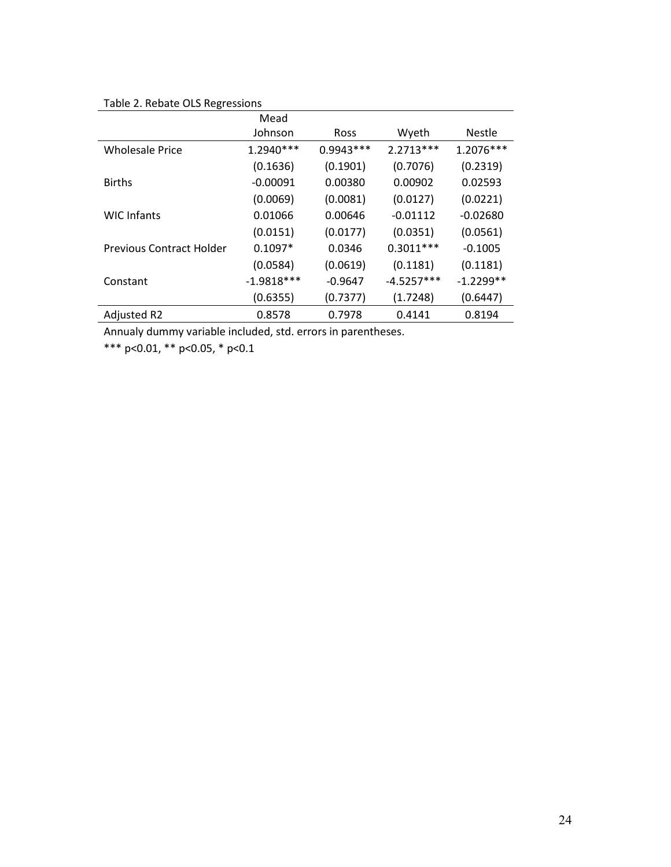# Table 2. Rebate OLS Regressions

|                                 | Mead         |             |              |               |
|---------------------------------|--------------|-------------|--------------|---------------|
|                                 | Johnson      | Ross        | Wyeth        | <b>Nestle</b> |
| <b>Wholesale Price</b>          | 1.2940***    | $0.9943***$ | 2.2713 ***   | 1.2076***     |
|                                 | (0.1636)     | (0.1901)    | (0.7076)     | (0.2319)      |
| <b>Births</b>                   | $-0.00091$   | 0.00380     | 0.00902      | 0.02593       |
|                                 | (0.0069)     | (0.0081)    | (0.0127)     | (0.0221)      |
| <b>WIC Infants</b>              | 0.01066      | 0.00646     | $-0.01112$   | $-0.02680$    |
|                                 | (0.0151)     | (0.0177)    | (0.0351)     | (0.0561)      |
| <b>Previous Contract Holder</b> | $0.1097*$    | 0.0346      | $0.3011***$  | $-0.1005$     |
|                                 | (0.0584)     | (0.0619)    | (0.1181)     | (0.1181)      |
| Constant                        | $-1.9818***$ | $-0.9647$   | $-4.5257***$ | $-1.2299**$   |
|                                 | (0.6355)     | (0.7377)    | (1.7248)     | (0.6447)      |
| Adjusted R2                     | 0.8578       | 0.7978      | 0.4141       | 0.8194        |

Annualy dummy variable included, std. errors in parentheses.

\*\*\* p<0.01, \*\* p<0.05, \* p<0.1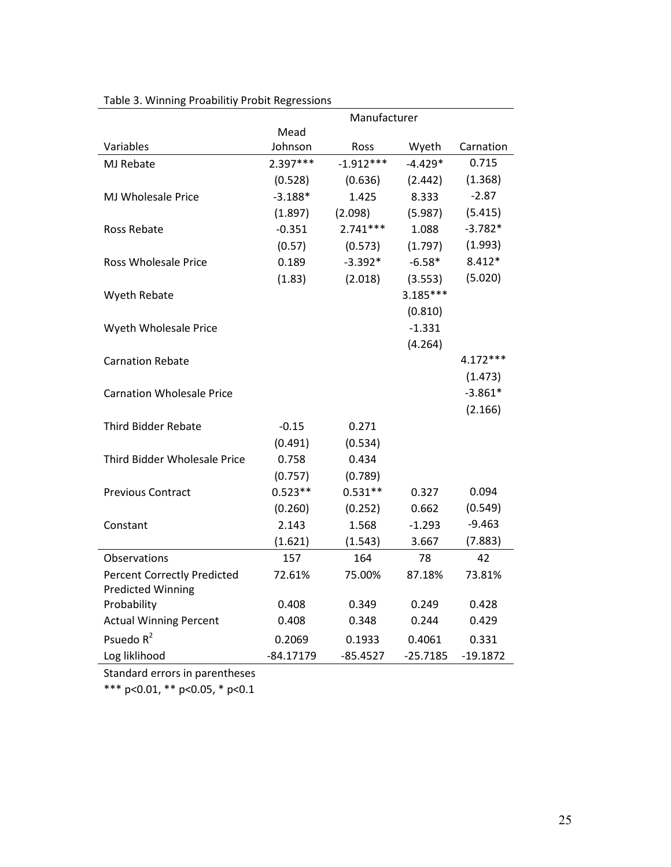|                                    | Manufacturer |             |            |            |
|------------------------------------|--------------|-------------|------------|------------|
|                                    | Mead         |             |            |            |
| Variables                          | Johnson      | Ross        | Wyeth      | Carnation  |
| MJ Rebate                          | $2.397***$   | $-1.912***$ | $-4.429*$  | 0.715      |
|                                    | (0.528)      | (0.636)     | (2.442)    | (1.368)    |
| <b>MJ Wholesale Price</b>          | $-3.188*$    | 1.425       | 8.333      | $-2.87$    |
|                                    | (1.897)      | (2.098)     | (5.987)    | (5.415)    |
| Ross Rebate                        | $-0.351$     | $2.741***$  | 1.088      | $-3.782*$  |
|                                    | (0.57)       | (0.573)     | (1.797)    | (1.993)    |
| <b>Ross Wholesale Price</b>        | 0.189        | $-3.392*$   | $-6.58*$   | $8.412*$   |
|                                    | (1.83)       | (2.018)     | (3.553)    | (5.020)    |
| Wyeth Rebate                       |              |             | $3.185***$ |            |
|                                    |              |             | (0.810)    |            |
| Wyeth Wholesale Price              |              |             | $-1.331$   |            |
|                                    |              |             | (4.264)    |            |
| <b>Carnation Rebate</b>            |              |             |            | $4.172***$ |
|                                    |              |             |            | (1.473)    |
| <b>Carnation Wholesale Price</b>   |              |             |            | $-3.861*$  |
|                                    |              |             |            | (2.166)    |
| Third Bidder Rebate                | $-0.15$      | 0.271       |            |            |
|                                    | (0.491)      | (0.534)     |            |            |
| Third Bidder Wholesale Price       | 0.758        | 0.434       |            |            |
|                                    | (0.757)      | (0.789)     |            |            |
| <b>Previous Contract</b>           | $0.523**$    | $0.531**$   | 0.327      | 0.094      |
|                                    | (0.260)      | (0.252)     | 0.662      | (0.549)    |
| Constant                           | 2.143        | 1.568       | $-1.293$   | $-9.463$   |
|                                    | (1.621)      | (1.543)     | 3.667      | (7.883)    |
| Observations                       | 157          | 164         | 78         | 42         |
| <b>Percent Correctly Predicted</b> | 72.61%       | 75.00%      | 87.18%     | 73.81%     |
| <b>Predicted Winning</b>           |              |             |            |            |
| Probability                        | 0.408        | 0.349       | 0.249      | 0.428      |
| <b>Actual Winning Percent</b>      | 0.408        | 0.348       | 0.244      | 0.429      |
| Psuedo $R^2$                       | 0.2069       | 0.1933      | 0.4061     | 0.331      |
| Log liklihood                      | $-84.17179$  | $-85.4527$  | $-25.7185$ | $-19.1872$ |

### Table 3. Winning Proabilitiy Probit Regressions

Standard errors in parentheses

\*\*\* p<0.01, \*\* p<0.05, \* p<0.1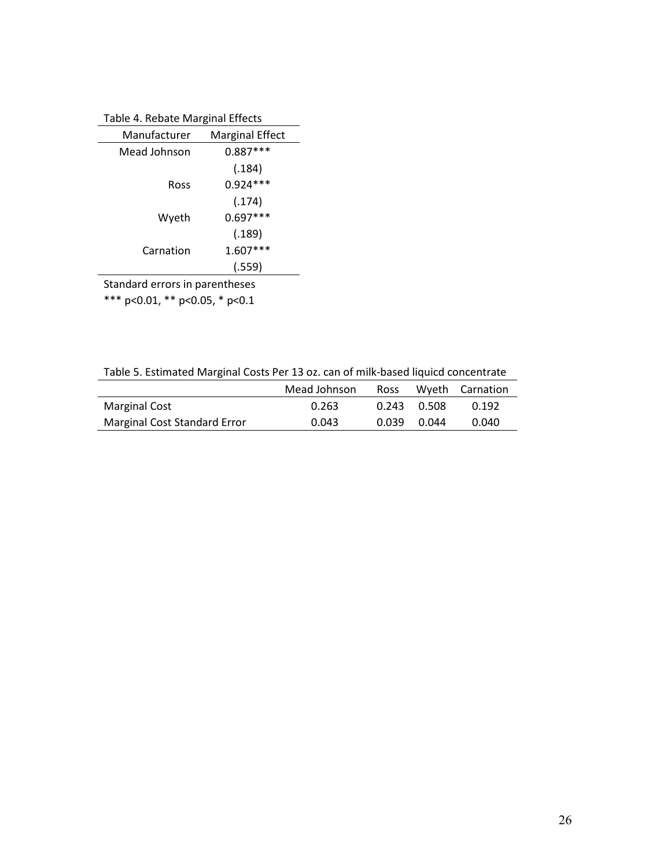| Table 4. Rebate Marginal Lifects |                        |  |
|----------------------------------|------------------------|--|
| Manufacturer                     | <b>Marginal Effect</b> |  |
| Mead Johnson                     | $0.887***$             |  |
|                                  | (.184)                 |  |
| Ross                             | $0.924***$             |  |
|                                  | (.174)                 |  |
| Wyeth                            | $0.697***$             |  |
|                                  | (.189)                 |  |
| Carnation                        | $1.607***$             |  |
|                                  | (.559)                 |  |
| Standard errors in parentheses   |                        |  |

\*\*\* p<0.01, \*\* p<0.05, \* p<0.1

Table 5. Estimated Marginal Costs Per 13 oz. can of milk-based liquicd concentrate

|                              | Mead Johnson | Ross  |             | Wyeth Carnation |
|------------------------------|--------------|-------|-------------|-----------------|
| <b>Marginal Cost</b>         | 0.263        |       | 0.243 0.508 | 0.192           |
| Marginal Cost Standard Error | 0.043        | 0.039 | 0.044       | 0.040           |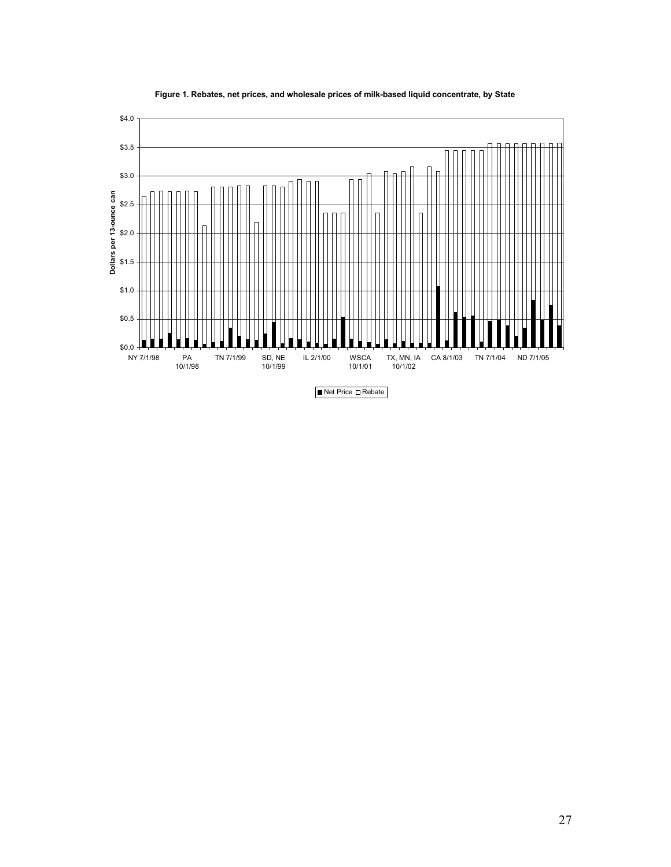

#### Figure 1. Rebates, net prices, and wholesale prices of milk-based liquid concentrate, by State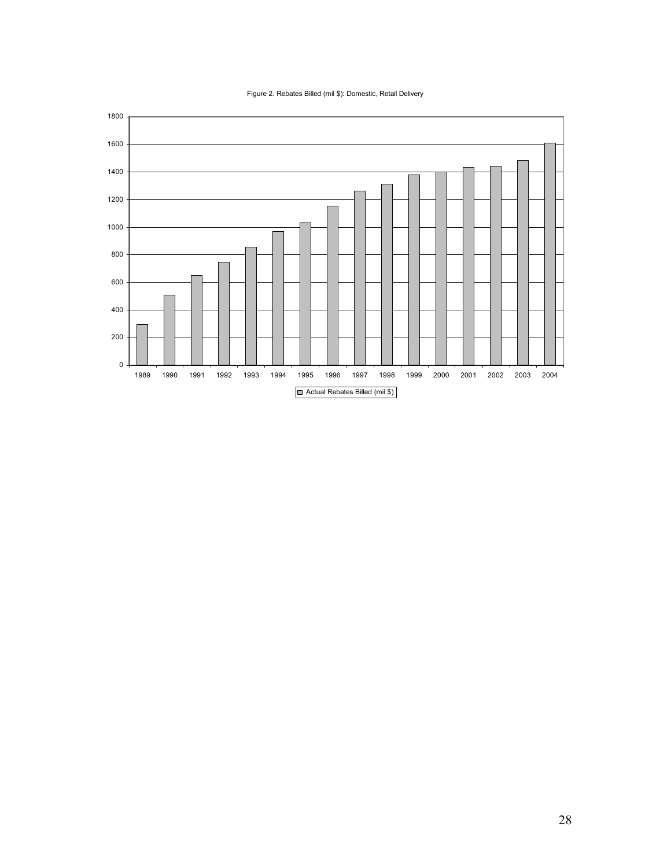